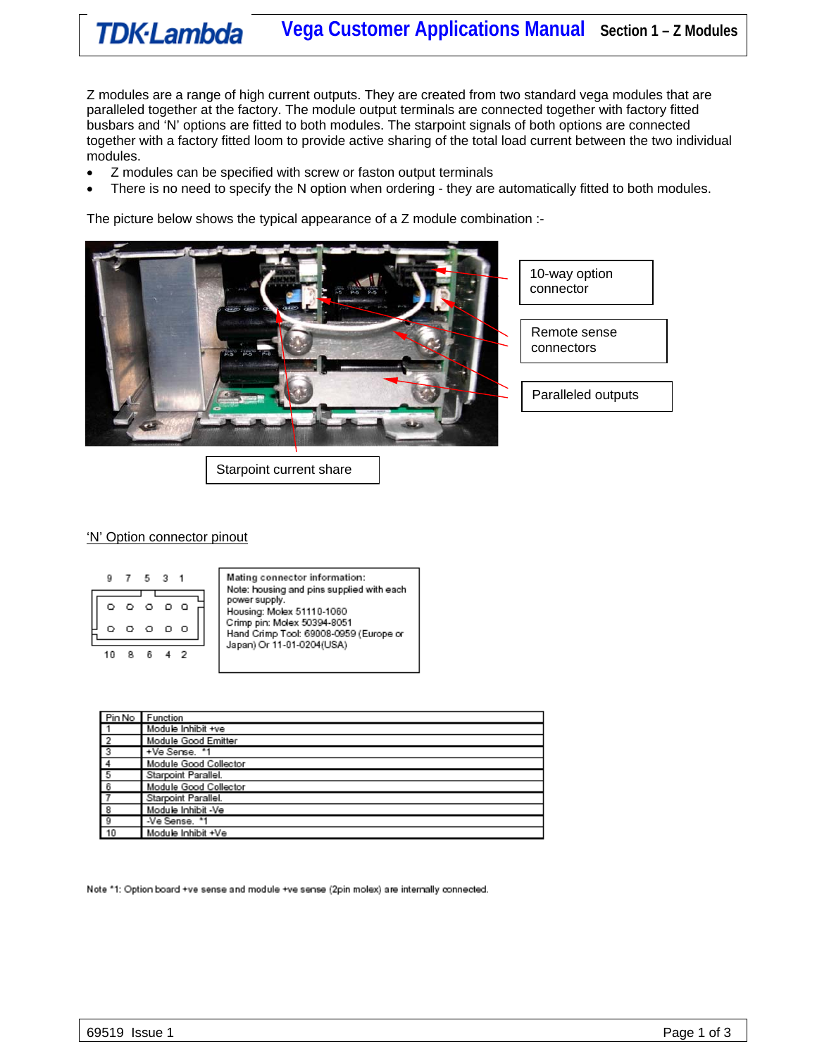# **TDK-Lambda** Vega Customer Applications Manual Section 1 - Z Modules

Z modules are a range of high current outputs. They are created from two standard vega modules that are paralleled together at the factory. The module output terminals are connected together with factory fitted busbars and 'N' options are fitted to both modules. The starpoint signals of both options are connected together with a factory fitted loom to provide active sharing of the total load current between the two individual modules.

- Z modules can be specified with screw or faston output terminals
- There is no need to specify the N option when ordering they are automatically fitted to both modules.

The picture below shows the typical appearance of a Z module combination :-



Starpoint current share

#### 'N' Option connector pinout



Mating connector information: Note: housing and pins supplied with each power supply. Housing: Molex 51110-1060 Crimp pin: Molex 50394-8051 Hand Crimp Tool: 69008-0959 (Europe or Japan) Or 11-01-0204(USA)

|                | Pin No Function       |
|----------------|-----------------------|
|                | Module Inhibit +ve    |
| $\frac{2}{3}$  | Module Good Emitter   |
|                | +Ve Sense, *1         |
|                | Module Good Collector |
| $\frac{4}{5}$  | Starpoint Parallel.   |
| $\overline{6}$ | Module Good Collector |
| $\overline{7}$ | Starpoint Parallel.   |
| $_{\rm 8}$     | Module Inhibit -Ve    |
| -9             | -Ve Sense. *1         |
| 10             | Module Inhibit +Ve    |

Note \*1: Option board +ve sense and module +ve sense (2pin molex) are internally connected.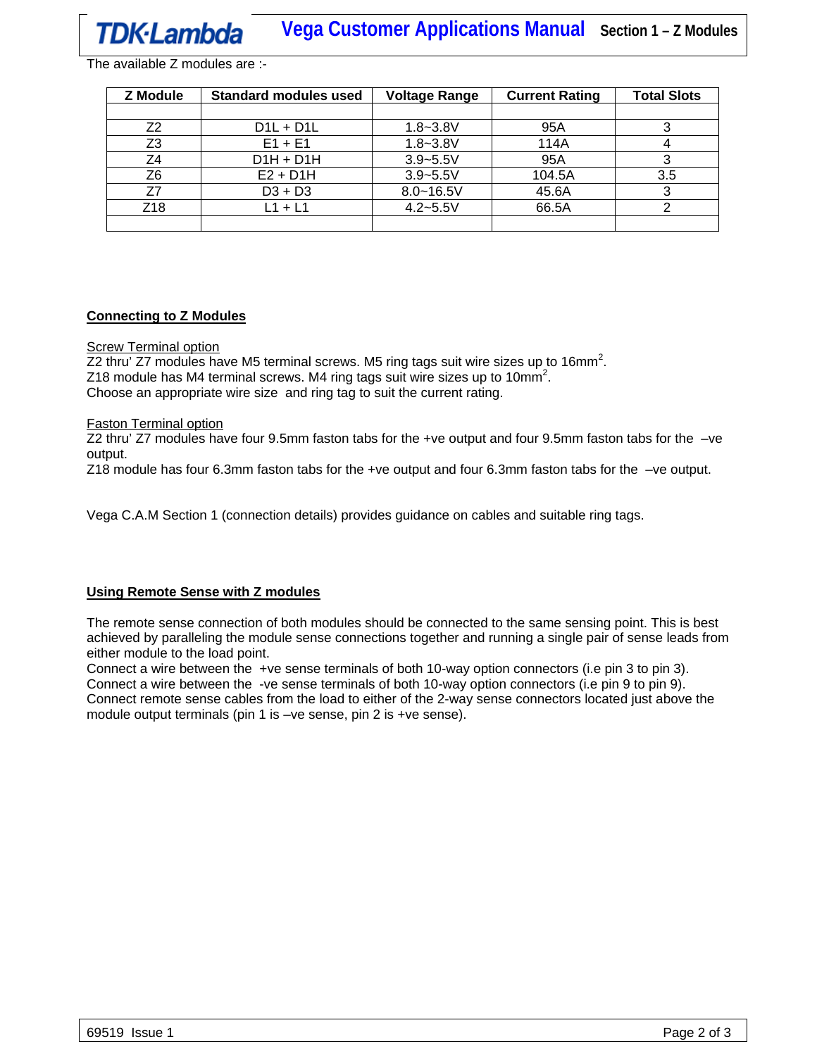The available Z modules are :-

| <b>Z</b> Module | <b>Standard modules used</b> | <b>Voltage Range</b> | <b>Current Rating</b> | <b>Total Slots</b> |
|-----------------|------------------------------|----------------------|-----------------------|--------------------|
|                 |                              |                      |                       |                    |
| Z2              | $D1L + D1L$                  | $1.8 - 3.8V$         | 95A                   |                    |
| Z <sub>3</sub>  | $E1 + E1$                    | $1.8 - 3.8V$         | 114A                  |                    |
| Z4              | $D1H + D1H$                  | $3.9 - 5.5V$         | 95A                   |                    |
| Z6              | $E2 + D1H$                   | $3.9 - 5.5V$         | 104.5A                | 3.5                |
| 77              | $D3 + D3$                    | $8.0 - 16.5V$        | 45.6A                 |                    |
| Z18             | L1 + L1                      | $4.2 - 5.5V$         | 66.5A                 |                    |
|                 |                              |                      |                       |                    |

### **Connecting to Z Modules**

Screw Terminal option

Z2 thru' Z7 modules have M5 terminal screws. M5 ring tags suit wire sizes up to 16mm<sup>2</sup>. Z18 module has M4 terminal screws. M4 ring tags suit wire sizes up to 10mm<sup>2</sup>. Choose an appropriate wire size and ring tag to suit the current rating.

#### Faston Terminal option

Z2 thru' Z7 modules have four 9.5mm faston tabs for the +ve output and four 9.5mm faston tabs for the –ve output.

Z18 module has four 6.3mm faston tabs for the +ve output and four 6.3mm faston tabs for the –ve output.

Vega C.A.M Section 1 (connection details) provides guidance on cables and suitable ring tags.

# **Using Remote Sense with Z modules**

The remote sense connection of both modules should be connected to the same sensing point. This is best achieved by paralleling the module sense connections together and running a single pair of sense leads from either module to the load point.

Connect a wire between the +ve sense terminals of both 10-way option connectors (i.e pin 3 to pin 3). Connect a wire between the -ve sense terminals of both 10-way option connectors (i.e pin 9 to pin 9). Connect remote sense cables from the load to either of the 2-way sense connectors located just above the module output terminals (pin 1 is –ve sense, pin 2 is +ve sense).